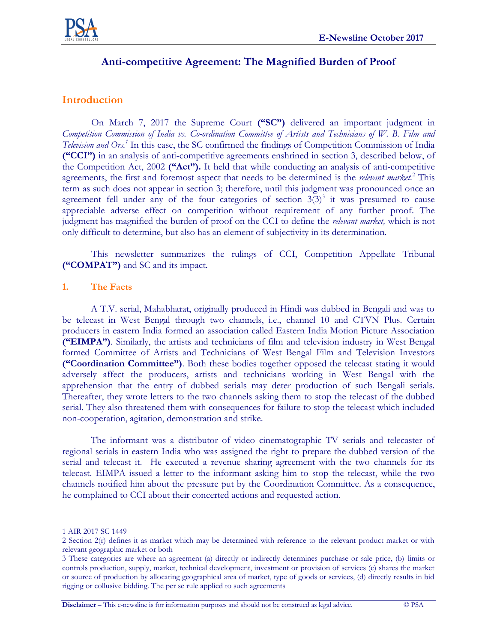

# **Anti-competitive Agreement: The Magnified Burden of Proof**

## **Introduction**

On March 7, 2017 the Supreme Court **("SC")** delivered an important judgment in *Competition Commission of India vs. Co-ordination Committee of Artists and Technicians of W. B. Film and Television and Ors.<sup>1</sup>* In this case, the SC confirmed the findings of Competition Commission of India **("CCI")** in an analysis of anti-competitive agreements enshrined in section 3, described below, of the Competition Act, 2002 **("Act").** It held that while conducting an analysis of anti-competitive agreements, the first and foremost aspect that needs to be determined is the *relevant market.*<sup>2</sup> This term as such does not appear in section 3; therefore, until this judgment was pronounced once an agreement fell under any of the four categories of section  $3(3)^3$  it was presumed to cause appreciable adverse effect on competition without requirement of any further proof. The judgment has magnified the burden of proof on the CCI to define the *relevant market,* which is not only difficult to determine, but also has an element of subjectivity in its determination.

This newsletter summarizes the rulings of CCI, Competition Appellate Tribunal **("COMPAT")** and SC and its impact.

#### **1. The Facts**

A T.V. serial, Mahabharat, originally produced in Hindi was dubbed in Bengali and was to be telecast in West Bengal through two channels, i.e., channel 10 and CTVN Plus. Certain producers in eastern India formed an association called Eastern India Motion Picture Association **("EIMPA")**. Similarly, the artists and technicians of film and television industry in West Bengal formed Committee of Artists and Technicians of West Bengal Film and Television Investors **("Coordination Committee")**. Both these bodies together opposed the telecast stating it would adversely affect the producers, artists and technicians working in West Bengal with the apprehension that the entry of dubbed serials may deter production of such Bengali serials. Thereafter, they wrote letters to the two channels asking them to stop the telecast of the dubbed serial. They also threatened them with consequences for failure to stop the telecast which included non-cooperation, agitation, demonstration and strike.

The informant was a distributor of video cinematographic TV serials and telecaster of regional serials in eastern India who was assigned the right to prepare the dubbed version of the serial and telecast it. He executed a revenue sharing agreement with the two channels for its telecast. EIMPA issued a letter to the informant asking him to stop the telecast, while the two channels notified him about the pressure put by the Coordination Committee. As a consequence, he complained to CCI about their concerted actions and requested action.

 $\overline{a}$ 

**Disclaimer** – This e-newsline is for information purposes and should not be construed as legal advice. © PSA

<sup>1</sup> AIR 2017 SC 1449

<sup>2</sup> Section 2(r) defines it as market which may be determined with reference to the relevant product market or with relevant geographic market or both

<sup>3</sup> These categories are where an agreement (a) directly or indirectly determines purchase or sale price, (b) limits or controls production, supply, market, technical development, investment or provision of services (c) shares the market or source of production by allocating geographical area of market, type of goods or services, (d) directly results in bid rigging or collusive bidding. The per se rule applied to such agreements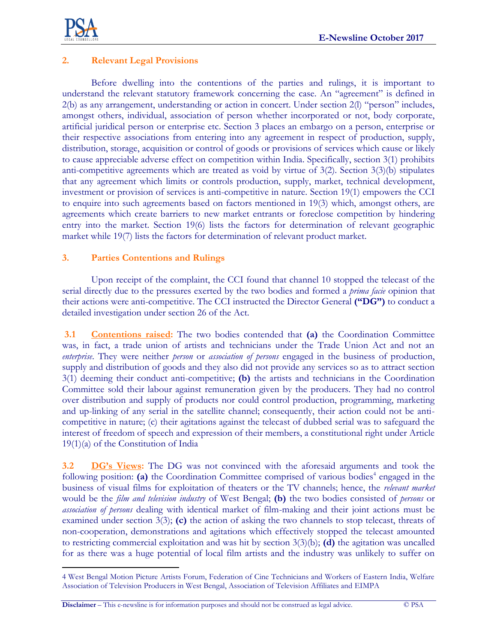

 $\overline{a}$ 

### **2. Relevant Legal Provisions**

Before dwelling into the contentions of the parties and rulings, it is important to understand the relevant statutory framework concerning the case. An "agreement" is defined in 2(b) as any arrangement, understanding or action in concert. Under section 2(l) "person" includes, amongst others, individual, association of person whether incorporated or not, body corporate, artificial juridical person or enterprise etc. Section 3 places an embargo on a person, enterprise or their respective associations from entering into any agreement in respect of production, supply, distribution, storage, acquisition or control of goods or provisions of services which cause or likely to cause appreciable adverse effect on competition within India. Specifically, section 3(1) prohibits anti-competitive agreements which are treated as void by virtue of 3(2). Section 3(3)(b) stipulates that any agreement which limits or controls production, supply, market, technical development, investment or provision of services is anti-competitive in nature. Section 19(1) empowers the CCI to enquire into such agreements based on factors mentioned in 19(3) which, amongst others, are agreements which create barriers to new market entrants or foreclose competition by hindering entry into the market. Section 19(6) lists the factors for determination of relevant geographic market while 19(7) lists the factors for determination of relevant product market.

#### **3. Parties Contentions and Rulings**

Upon receipt of the complaint, the CCI found that channel 10 stopped the telecast of the serial directly due to the pressures exerted by the two bodies and formed a *prima facie* opinion that their actions were anti-competitive. The CCI instructed the Director General **("DG")** to conduct a detailed investigation under section 26 of the Act.

**3.1 Contentions raised:** The two bodies contended that **(a)** the Coordination Committee was, in fact, a trade union of artists and technicians under the Trade Union Act and not an *enterprise*. They were neither *person* or *association of persons* engaged in the business of production, supply and distribution of goods and they also did not provide any services so as to attract section 3(1) deeming their conduct anti-competitive; **(b)** the artists and technicians in the Coordination Committee sold their labour against remuneration given by the producers. They had no control over distribution and supply of products nor could control production, programming, marketing and up-linking of any serial in the satellite channel; consequently, their action could not be anticompetitive in nature; (c) their agitations against the telecast of dubbed serial was to safeguard the interest of freedom of speech and expression of their members, a constitutional right under Article 19(1)(a) of the Constitution of India

**3.2 DG's Views:** The DG was not convinced with the aforesaid arguments and took the following position: (a) the Coordination Committee comprised of various bodies<sup>4</sup> engaged in the business of visual films for exploitation of theaters or the TV channels; hence, the *relevant market* would be the *film and television industry* of West Bengal; **(b)** the two bodies consisted of *persons* or *association of persons* dealing with identical market of film-making and their joint actions must be examined under section 3(3); **(c)** the action of asking the two channels to stop telecast, threats of non-cooperation, demonstrations and agitations which effectively stopped the telecast amounted to restricting commercial exploitation and was hit by section 3(3)(b); **(d)** the agitation was uncalled for as there was a huge potential of local film artists and the industry was unlikely to suffer on

<sup>4</sup> West Bengal Motion Picture Artists Forum, Federation of Cine Technicians and Workers of Eastern India, Welfare Association of Television Producers in West Bengal, Association of Television Affiliates and EIMPA

**Disclaimer** – This e-newsline is for information purposes and should not be construed as legal advice. © PSA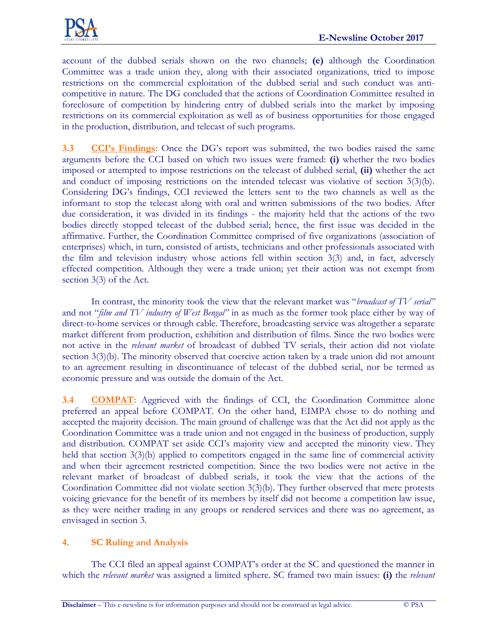

account of the dubbed serials shown on the two channels; **(e)** although the Coordination Committee was a trade union they, along with their associated organizations, tried to impose restrictions on the commercial exploitation of the dubbed serial and such conduct was anticompetitive in nature. The DG concluded that the actions of Coordination Committee resulted in foreclosure of competition by hindering entry of dubbed serials into the market by imposing restrictions on its commercial exploitation as well as of business opportunities for those engaged in the production, distribution, and telecast of such programs.

**3.3 CCI's Findings:** Once the DG's report was submitted, the two bodies raised the same arguments before the CCI based on which two issues were framed: **(i)** whether the two bodies imposed or attempted to impose restrictions on the telecast of dubbed serial, **(ii)** whether the act and conduct of imposing restrictions on the intended telecast was violative of section 3(3)(b). Considering DG's findings, CCI reviewed the letters sent to the two channels as well as the informant to stop the telecast along with oral and written submissions of the two bodies. After due consideration, it was divided in its findings - the majority held that the actions of the two bodies directly stopped telecast of the dubbed serial; hence, the first issue was decided in the affirmative. Further, the Coordination Committee comprised of five organizations (association of enterprises) which, in turn, consisted of artists, technicians and other professionals associated with the film and television industry whose actions fell within section 3(3) and, in fact, adversely effected competition. Although they were a trade union; yet their action was not exempt from section 3(3) of the Act.

In contrast, the minority took the view that the relevant market was "*broadcast of TV serial"* and not "*film and TV industry of West Bengal"* in as much as the former took place either by way of direct-to-home services or through cable. Therefore, broadcasting service was altogether a separate market different from production, exhibition and distribution of films. Since the two bodies were not active in the *relevant market* of broadcast of dubbed TV serials, their action did not violate section 3(3)(b). The minority observed that coercive action taken by a trade union did not amount to an agreement resulting in discontinuance of telecast of the dubbed serial, nor be termed as economic pressure and was outside the domain of the Act.

**3.4 COMPAT:** Aggrieved with the findings of CCI, the Coordination Committee alone preferred an appeal before COMPAT. On the other hand, EIMPA chose to do nothing and accepted the majority decision. The main ground of challenge was that the Act did not apply as the Coordination Committee was a trade union and not engaged in the business of production, supply and distribution. COMPAT set aside CCI's majority view and accepted the minority view. They held that section 3(3)(b) applied to competitors engaged in the same line of commercial activity and when their agreement restricted competition. Since the two bodies were not active in the relevant market of broadcast of dubbed serials, it took the view that the actions of the Coordination Committee did not violate section 3(3)(b). They further observed that mere protests voicing grievance for the benefit of its members by itself did not become a competition law issue, as they were neither trading in any groups or rendered services and there was no agreement, as envisaged in section 3.

### **4. SC Ruling and Analysis**

The CCI filed an appeal against COMPAT's order at the SC and questioned the manner in which the *relevant market* was assigned a limited sphere. SC framed two main issues: **(i)** the *relevant*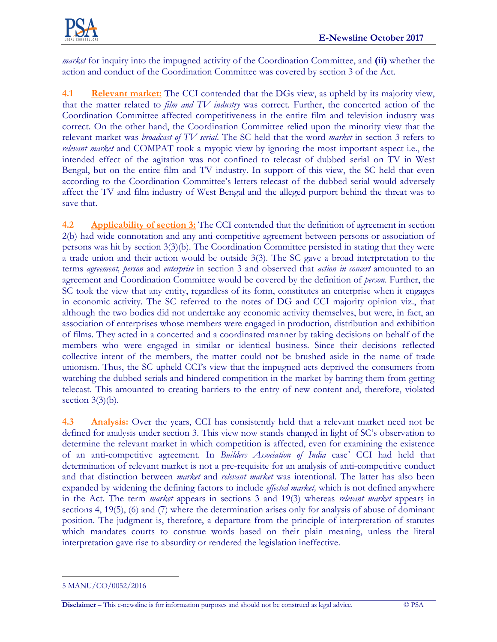

*market* for inquiry into the impugned activity of the Coordination Committee, and **(ii)** whether the action and conduct of the Coordination Committee was covered by section 3 of the Act.

**4.1 Relevant market:** The CCI contended that the DGs view, as upheld by its majority view, that the matter related to *film and TV industry* was correct*.* Further, the concerted action of the Coordination Committee affected competitiveness in the entire film and television industry was correct. On the other hand, the Coordination Committee relied upon the minority view that the relevant market was *broadcast of TV serial*. The SC held that the word *market* in section 3 refers to *relevant market* and COMPAT took a myopic view by ignoring the most important aspect i.e., the intended effect of the agitation was not confined to telecast of dubbed serial on TV in West Bengal, but on the entire film and TV industry. In support of this view, the SC held that even according to the Coordination Committee's letters telecast of the dubbed serial would adversely affect the TV and film industry of West Bengal and the alleged purport behind the threat was to save that.

**4.2 Applicability of section 3:** The CCI contended that the definition of agreement in section 2(b) had wide connotation and any anti-competitive agreement between persons or association of persons was hit by section 3(3)(b). The Coordination Committee persisted in stating that they were a trade union and their action would be outside 3(3). The SC gave a broad interpretation to the terms *agreement, person* and *enterprise* in section 3 and observed that *action in concert* amounted to an agreement and Coordination Committee would be covered by the definition of *person*. Further, the SC took the view that any entity, regardless of its form, constitutes an enterprise when it engages in economic activity. The SC referred to the notes of DG and CCI majority opinion viz., that although the two bodies did not undertake any economic activity themselves, but were, in fact, an association of enterprises whose members were engaged in production, distribution and exhibition of films. They acted in a concerted and a coordinated manner by taking decisions on behalf of the members who were engaged in similar or identical business. Since their decisions reflected collective intent of the members, the matter could not be brushed aside in the name of trade unionism. Thus, the SC upheld CCI's view that the impugned acts deprived the consumers from watching the dubbed serials and hindered competition in the market by barring them from getting telecast. This amounted to creating barriers to the entry of new content and, therefore, violated section  $3(3)(b)$ .

**4.3 Analysis:** Over the years, CCI has consistently held that a relevant market need not be defined for analysis under section 3. This view now stands changed in light of SC's observation to determine the relevant market in which competition is affected, even for examining the existence of an anti-competitive agreement. In *Builders Association of India* case *<sup>5</sup>* CCI had held that determination of relevant market is not a pre-requisite for an analysis of anti-competitive conduct and that distinction between *market* and *relevant market* was intentional. The latter has also been expanded by widening the defining factors to include *effected market,* which is not defined anywhere in the Act. The term *market* appears in sections 3 and 19(3) whereas *relevant market* appears in sections 4, 19(5), (6) and (7) where the determination arises only for analysis of abuse of dominant position. The judgment is, therefore, a departure from the principle of interpretation of statutes which mandates courts to construe words based on their plain meaning, unless the literal interpretation gave rise to absurdity or rendered the legislation ineffective.

 $\overline{a}$ 

<sup>5</sup> MANU/CO/0052/2016

**Disclaimer** – This e-newsline is for information purposes and should not be construed as legal advice. © PSA